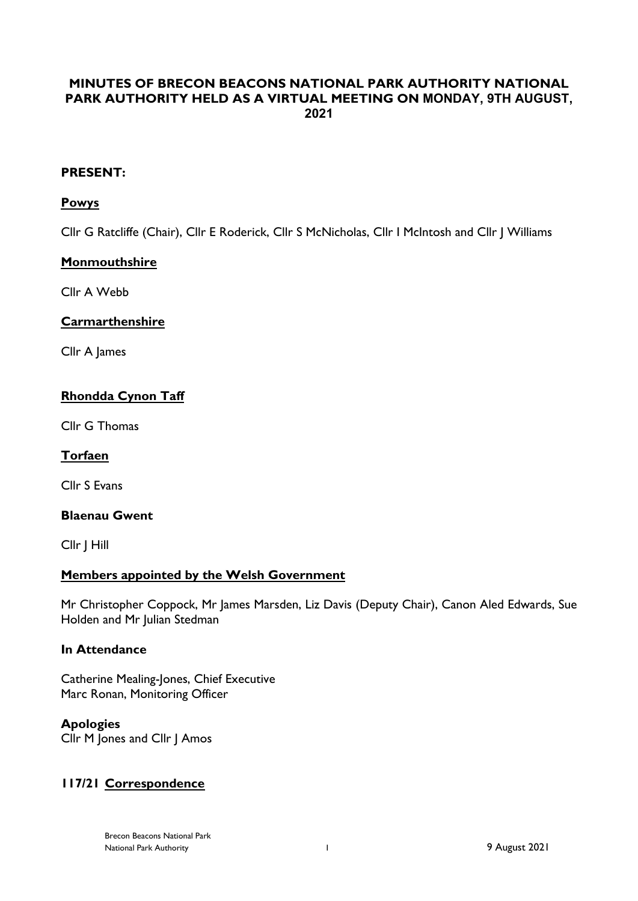# **MINUTES OF BRECON BEACONS NATIONAL PARK AUTHORITY NATIONAL PARK AUTHORITY HELD AS A VIRTUAL MEETING ON MONDAY, 9TH AUGUST, 2021**

### **PRESENT:**

### **Powys**

Cllr G Ratcliffe (Chair), Cllr E Roderick, Cllr S McNicholas, Cllr I McIntosh and Cllr J Williams

### **Monmouthshire**

Cllr A Webb

# **Carmarthenshire**

Cllr A James

# **Rhondda Cynon Taff**

Cllr G Thomas

# **Torfaen**

Cllr S Evans

# **Blaenau Gwent**

Cllr J Hill

# **Members appointed by the Welsh Government**

Mr Christopher Coppock, Mr James Marsden, Liz Davis (Deputy Chair), Canon Aled Edwards, Sue Holden and Mr Julian Stedman

#### **In Attendance**

Catherine Mealing-Jones, Chief Executive Marc Ronan, Monitoring Officer

# **Apologies**

Cllr M Jones and Cllr J Amos

# **117/21 Correspondence**

Brecon Beacons National Park National Park Authority 1 9 August 2021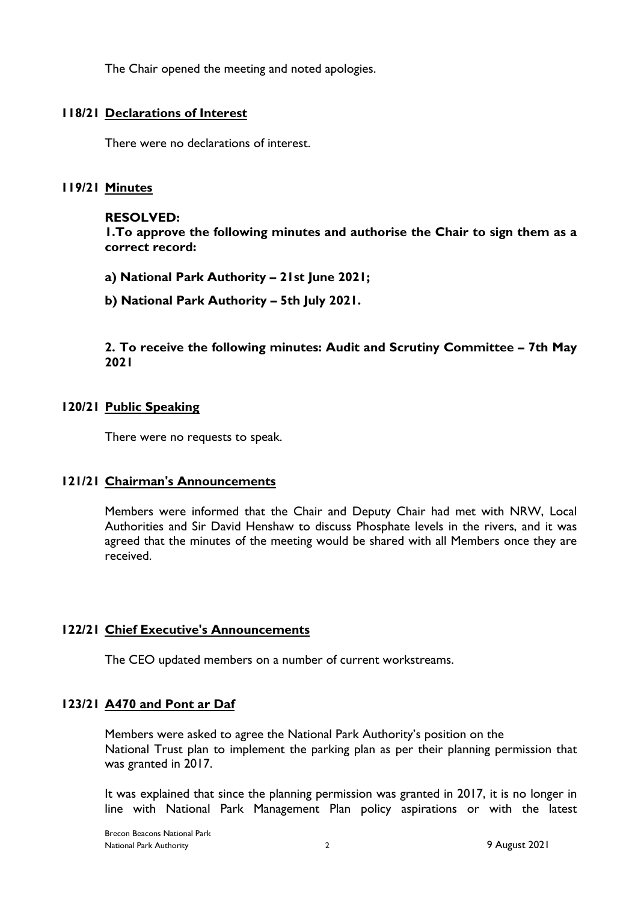The Chair opened the meeting and noted apologies.

# **118/21 Declarations of Interest**

There were no declarations of interest.

### **119/21 Minutes**

#### **RESOLVED:**

**1.To approve the following minutes and authorise the Chair to sign them as a correct record:**

**a) National Park Authority – 21st June 2021;**

**b) National Park Authority – 5th July 2021.**

**2. To receive the following minutes: Audit and Scrutiny Committee – 7th May 2021**

### **120/21 Public Speaking**

There were no requests to speak.

#### **121/21 Chairman's Announcements**

Members were informed that the Chair and Deputy Chair had met with NRW, Local Authorities and Sir David Henshaw to discuss Phosphate levels in the rivers, and it was agreed that the minutes of the meeting would be shared with all Members once they are received.

#### **122/21 Chief Executive's Announcements**

The CEO updated members on a number of current workstreams.

#### **123/21 A470 and Pont ar Daf**

Members were asked to agree the National Park Authority's position on the National Trust plan to implement the parking plan as per their planning permission that was granted in 2017.

It was explained that since the planning permission was granted in 2017, it is no longer in line with National Park Management Plan policy aspirations or with the latest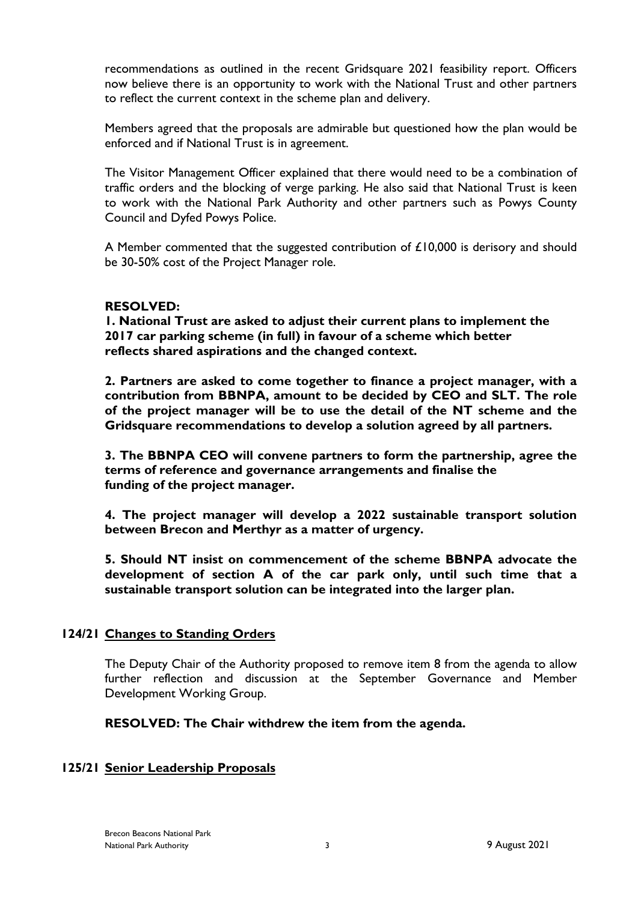recommendations as outlined in the recent Gridsquare 2021 feasibility report. Officers now believe there is an opportunity to work with the National Trust and other partners to reflect the current context in the scheme plan and delivery.

Members agreed that the proposals are admirable but questioned how the plan would be enforced and if National Trust is in agreement.

The Visitor Management Officer explained that there would need to be a combination of traffic orders and the blocking of verge parking. He also said that National Trust is keen to work with the National Park Authority and other partners such as Powys County Council and Dyfed Powys Police.

A Member commented that the suggested contribution of £10,000 is derisory and should be 30-50% cost of the Project Manager role.

### **RESOLVED:**

**1. National Trust are asked to adjust their current plans to implement the 2017 car parking scheme (in full) in favour of a scheme which better reflects shared aspirations and the changed context.**

**2. Partners are asked to come together to finance a project manager, with a contribution from BBNPA, amount to be decided by CEO and SLT. The role of the project manager will be to use the detail of the NT scheme and the Gridsquare recommendations to develop a solution agreed by all partners.**

**3. The BBNPA CEO will convene partners to form the partnership, agree the terms of reference and governance arrangements and finalise the funding of the project manager.**

**4. The project manager will develop a 2022 sustainable transport solution between Brecon and Merthyr as a matter of urgency.**

**5. Should NT insist on commencement of the scheme BBNPA advocate the development of section A of the car park only, until such time that a sustainable transport solution can be integrated into the larger plan.**

# **124/21 Changes to Standing Orders**

The Deputy Chair of the Authority proposed to remove item 8 from the agenda to allow further reflection and discussion at the September Governance and Member Development Working Group.

**RESOLVED: The Chair withdrew the item from the agenda.**

# **125/21 Senior Leadership Proposals**